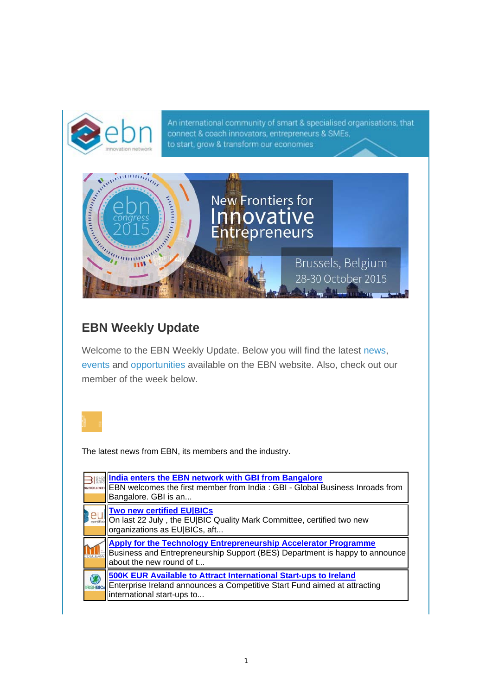An international community of smart & specialised organisations, that connect & coach innovators, entrepreneurs & SMEs, to start, grow & transform our economies



## **EBN Weekly Update**

Welcome to the EBN Weekly Update. Below you will find the latest news, events and opportunities available on the EBN website. Also, check out our member of the week below.



The latest news from EBN, its members and the industry.

|          | India enters the EBN network with GBI from Bangalore<br><b>EBN welcomes the first member from India: GBI - Global Business Inroads from</b><br>Bangalore. GBI is an                         |
|----------|---------------------------------------------------------------------------------------------------------------------------------------------------------------------------------------------|
|          | <b>Two new certified EU BICs</b><br>Continuer On last 22 July, the EU BIC Quality Mark Committee, certified two new<br>organizations as EU BICs, aft                                        |
| TEL ERAT | Apply for the Technology Entrepreneurship Accelerator Programme<br>Business and Entrepreneurship Support (BES) Department is happy to announce<br>about the new round of t                  |
|          | 500K EUR Available to Attract International Start-ups to Ireland<br><b>RISHBICS</b> Enterprise Ireland announces a Competitive Start Fund aimed at attracting<br>international start-ups to |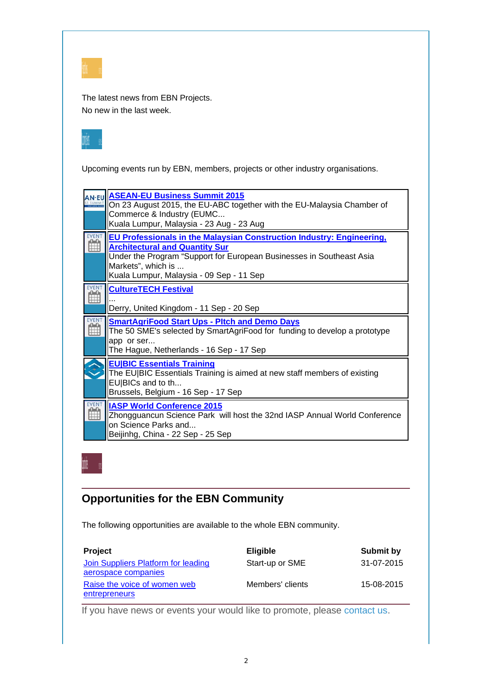| ٠ |  |  |  |
|---|--|--|--|

The latest news from EBN Projects. No new in the last week.



Upcoming events run by EBN, members, projects or other industry organisations.

| <b>ASEAN-EU Business Summit 2015</b><br>On 23 August 2015, the EU-ABC together with the EU-Malaysia Chamber of<br>Commerce & Industry (EUMC<br>Kuala Lumpur, Malaysia - 23 Aug - 23 Aug                                                                  |
|----------------------------------------------------------------------------------------------------------------------------------------------------------------------------------------------------------------------------------------------------------|
| EU Professionals in the Malaysian Construction Industry: Engineering,<br><b>Architectural and Quantity Sur</b><br>Under the Program "Support for European Businesses in Southeast Asia<br>Markets", which is<br>Kuala Lumpur, Malaysia - 09 Sep - 11 Sep |
| <b>CultureTECH Festival</b><br>Derry, United Kingdom - 11 Sep - 20 Sep                                                                                                                                                                                   |
| <b>SmartAgriFood Start Ups - Pltch and Demo Days</b><br>The 50 SME's selected by SmartAgriFood for funding to develop a prototype<br>app or ser<br>The Hague, Netherlands - 16 Sep - 17 Sep                                                              |
| <b>EU BIC Essentials Training</b><br>The EU BIC Essentials Training is aimed at new staff members of existing<br>EU BICs and to th<br>Brussels, Belgium - 16 Sep - 17 Sep                                                                                |
| <b>IASP World Conference 2015</b><br>Zhongguancun Science Park will host the 32nd IASP Annual World Conference<br>on Science Parks and<br>Beijinhg, China - 22 Sep - 25 Sep                                                                              |

## **Opportunities for the EBN Community**

The following opportunities are available to the whole EBN community.

| <b>Project</b>                                             | <b>Eligible</b>  | Submit by  |
|------------------------------------------------------------|------------------|------------|
| Join Suppliers Platform for leading<br>aerospace companies | Start-up or SME  | 31-07-2015 |
| Raise the voice of women web<br><b>entrepreneurs</b>       | Members' clients | 15-08-2015 |

If you have news or events your would like to promote, please contact us.